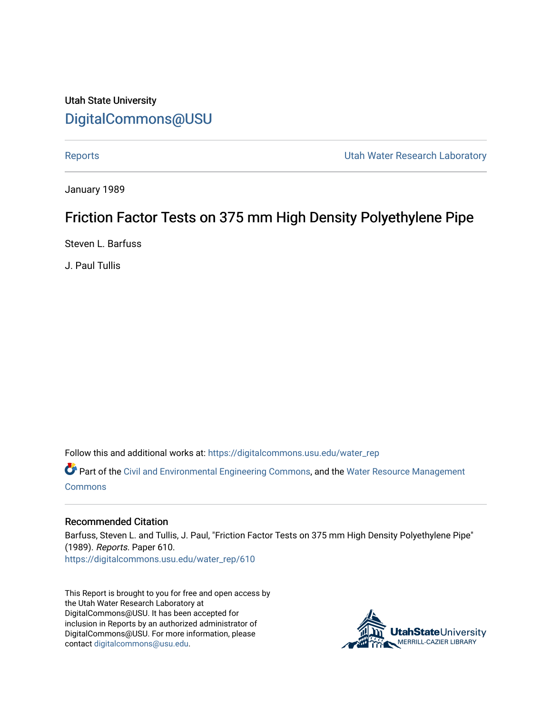Utah State University [DigitalCommons@USU](https://digitalcommons.usu.edu/)

[Reports](https://digitalcommons.usu.edu/water_rep) **National Community Community** Channel Community Utah Water Research Laboratory

January 1989

# Friction Factor Tests on 375 mm High Density Polyethylene Pipe

Steven L. Barfuss

J. Paul Tullis

Follow this and additional works at: [https://digitalcommons.usu.edu/water\\_rep](https://digitalcommons.usu.edu/water_rep?utm_source=digitalcommons.usu.edu%2Fwater_rep%2F610&utm_medium=PDF&utm_campaign=PDFCoverPages) 

Part of the [Civil and Environmental Engineering Commons](http://network.bepress.com/hgg/discipline/251?utm_source=digitalcommons.usu.edu%2Fwater_rep%2F610&utm_medium=PDF&utm_campaign=PDFCoverPages), and the [Water Resource Management](http://network.bepress.com/hgg/discipline/1057?utm_source=digitalcommons.usu.edu%2Fwater_rep%2F610&utm_medium=PDF&utm_campaign=PDFCoverPages) [Commons](http://network.bepress.com/hgg/discipline/1057?utm_source=digitalcommons.usu.edu%2Fwater_rep%2F610&utm_medium=PDF&utm_campaign=PDFCoverPages)

#### Recommended Citation

Barfuss, Steven L. and Tullis, J. Paul, "Friction Factor Tests on 375 mm High Density Polyethylene Pipe" (1989). Reports. Paper 610. [https://digitalcommons.usu.edu/water\\_rep/610](https://digitalcommons.usu.edu/water_rep/610?utm_source=digitalcommons.usu.edu%2Fwater_rep%2F610&utm_medium=PDF&utm_campaign=PDFCoverPages)

This Report is brought to you for free and open access by the Utah Water Research Laboratory at DigitalCommons@USU. It has been accepted for inclusion in Reports by an authorized administrator of DigitalCommons@USU. For more information, please contact [digitalcommons@usu.edu](mailto:digitalcommons@usu.edu).

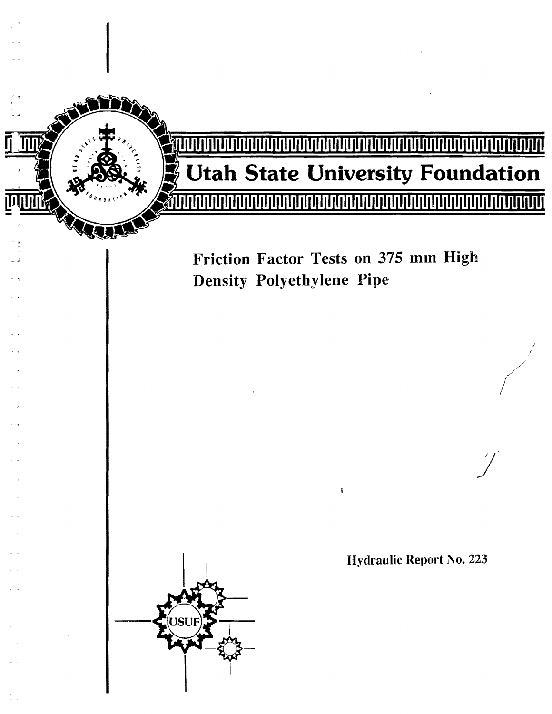

# **Utah State University Foundation**

Friction Factor Tests on 375 mm High **Density Polyethylene Pipe** 



**Hydraulic Report No. 223**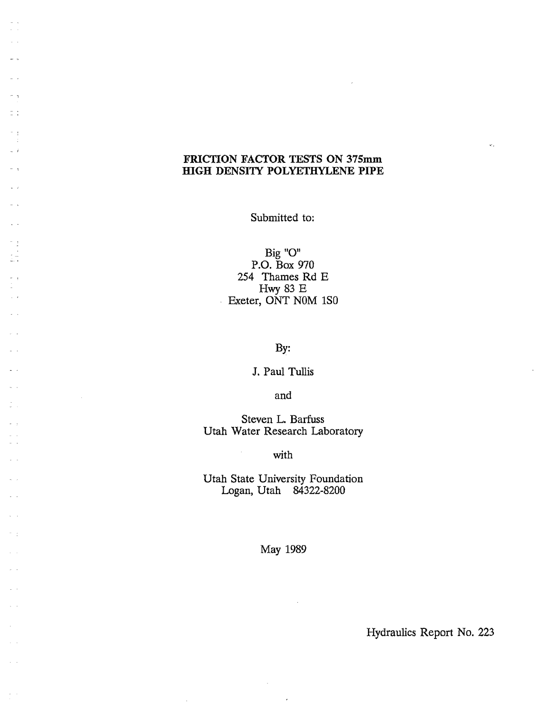# FRICTION FACTOR TESTS ON 375mm HIGH DENSITY POLYETHYLENE PIPE

 $-$ 

 $\mathbb{Z}$  .

n.

 $\omega$  .  $\delta$ 

 $\omega \rightarrow$ 

 $\omega$  .

 $\frac{1}{\alpha}=\frac{1}{2}$ 

 $\bar{\omega}$  .  $\sim$   $\sim$ 

 $\frac{1}{\sqrt{2}}$ 

Submitted to:

Big "O" P.o. Box 970 254 Thames Rd E Hwy 83 E Exeter, ONT NOM 1S0

By:

J. Paul Tullis

and

Steven L. Barfuss Utah Water Research Laboratory

with

 $\sim$ 

Utah State University Foundation Logan, Utah 84322-8200

May 1989

Hydraulics Report No. 223

 $\hat{\mathbf{c}}$  .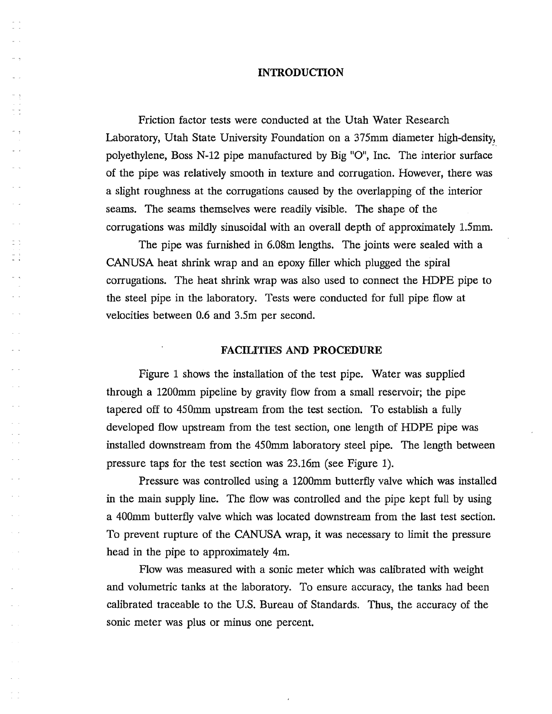#### **INTRODUCTION**

t t

 $-1$ 

. .

Friction factor tests were conducted at the Utah Water Research Laboratory, Utah State University Foundation on a 375mm diameter high-density, polyethylene, Boss N-12 pipe manufactured by Big  $"O"$ , Inc. The interior surface of the pipe was relatively smooth in texture and corrugation. However, there was a slight roughness at the corrugations caused by the overlapping of the interior seams. The seams themselves were readily visible. The shape of the corrugations was mildly sinusoidal with an overall depth of approximately 1.5mm.

The pipe was furnished in 6.0Sm lengths. The joints were sealed with a CANUSA heat shrink wrap and an epoxy filler which plugged the spiral corrugations. The heat shrink wrap was also used to connect the HDPE pipe to the steel pipe in the laboratory. Tests were conducted for full pipe flow at velocities between 0.6 and 3.5m per second.

#### **FACILITIES AND PROCEDURE**

Figure 1 shows the installation of the test pipe. Water was supplied through a 1200mm pipeline by gravity flow from a small reservoir; the pipe tapered off to 450mm upstream from the test section. To establish a fully developed flow upstream from the test section, one length of HDPE pipe was installed downstream from the 450mm laboratory steel pipe. The length between pressure taps for the test section was 23.16m (see Figure 1).

Pressure was controlled using a 1200mm butterfly valve which was installed in the main supply line. The flow was controlled and the pipe kept full by using a 400mm butterfly valve which was located downstream from the last test section. To prevent rupture of the CANUSA wrap, it was necessary to limit the pressure head in the pipe to approximately 4m.

Flow was measured with a sonic meter which was calibrated with weight and volumetric tanks at the laboratory. To ensure accuracy, the tanks had been calibrated traceable to the U.S. Bureau of Standards. Thus, the accuracy of the sonic meter was plus or minus one percent.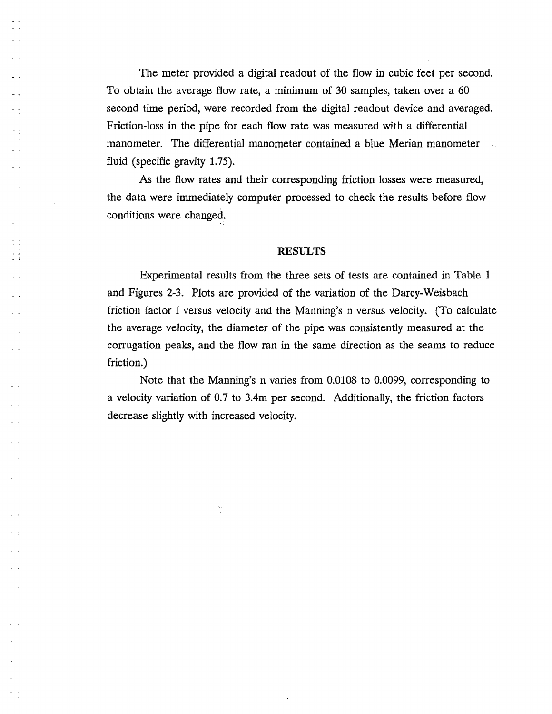The meter provided a digital readout of the flow in cubic feet per second. To obtain the average flow rate, a minimum of 30 samples, taken over a 60 second time period, were recorded from the digital readout device and averaged. Friction-loss in the pipe for each flow rate was measured with a differential manometer. The differential manometer contained a blue Merian manometer  $\sim$ s l fluid (specific gravity 1.75).

 $\frac{\pi}{\alpha}$  .  $\frac{\pi}{\alpha}$ 

 $\mathbb{R}^3$ 

As the flow rates and their corresponding friction losses were measured, the data were immediately computer processed to check the results before flow conditions were changed..

#### RESULTS

Experimental results from the three sets of tests are contained in Table 1 and Figures 2-3. Plots are provided of the variation of the Darcy-Weisbach friction factor f versus velocity and the Manning's n versus velocity. (To calculate the average velocity, the diameter of the pipe was consistently measured at the corrugation peaks, and the flow ran in the same direction as the seams to reduce friction.)

Note that the Manning's n varies from 0.0108 to 0.0099, corresponding to a velocity variation of 0.7 to 3.4m per second. Additionally, the friction factors decrease slightly with increased velocity.

 $\frac{1}{\sqrt{2}}$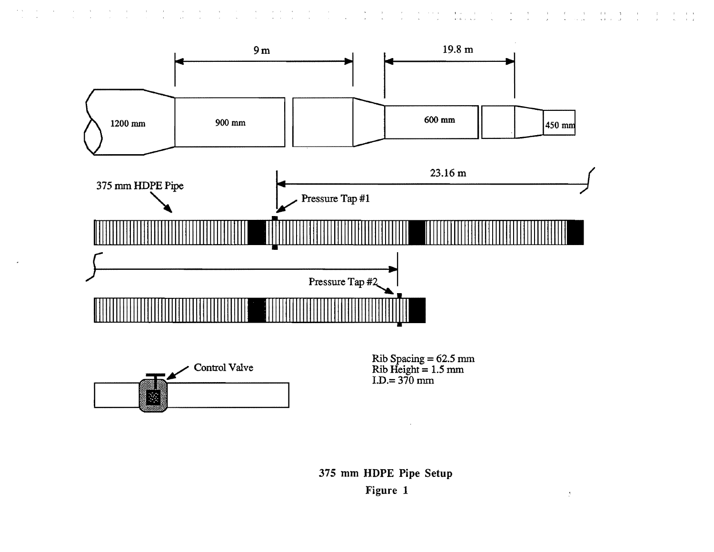

 $\sim$   $\sim$ 

 $\rightarrow$ 

 $\mathcal{A}$  $\rightarrow$   $\sim$   $\epsilon$  .  $\sim 10$   $\sim$   $\alpha$ 

 $\mathcal{A}$ 

 $\mathcal{A}=\mathcal{A}=\mathcal{A}$  and

 $\sim$ r $^{-1}$ 

 $\mathbf{A}$  .

 $\label{eq:2.1} \frac{1}{\sqrt{2}}\left(\frac{1}{\sqrt{2}}\right) = \frac{1}{\sqrt{2}}\left(\frac{3}{2}\right)$ 

 $\frac{1}{2}$ 

 $\sim 10^{-1}$ 

 $\mathcal{I}$ 

375 mm HDPE Pipe Setup Figure 1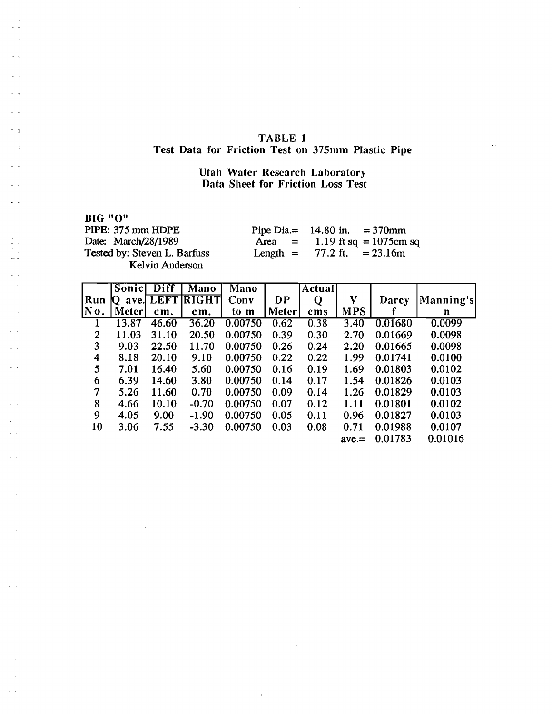## TABLE 1 Test Data for Friction Test on 37Smm Plastic Pipe

### Utah Water Research Laboratory Data Sheet for Friction Loss Test

BIG "0" PIPE: 375 mm HDPE Date: March/28/1989 Tested by: Steven L. Barfuss Kelvin Anderson

 $\bar{1}$ 

 $\frac{1}{2}$  ,  $\frac{1}{2}$ 

 $-1$ 

 $\frac{1}{2}$  . i.

 $\sim$  $\mathbb{R}^{\mathbb{Z}}$ 

 $\hat{\mathcal{L}}$  $\zeta=1$ 

 $\sim$   $\sim$  $\sim$   $\sim$ 

 $\zeta_{\rm c}$  ,  $\zeta$ 

 $\beta$  )  $\beta$ 

 $\tau=1$ 

 $\frac{1}{2}$  .

Pipe Dia.=  $14.80 \text{ in.} = 370 \text{ mm}$  $Area =$ Length  $=$ 1.19 ft sq =  $1075$ cm sq 77.2 ft.  $= 23.16m$ 

 $\omega_{\rm in}$ 

|                | Sonic        | Diff        | Mano         | Mano    |       | Actual |            |         |           |
|----------------|--------------|-------------|--------------|---------|-------|--------|------------|---------|-----------|
| Run            | ave.         | <b>LEFT</b> | <b>RIGHT</b> | Conv    | DP    | Q      | V          | Darcy   | Manning's |
| No.            | <b>Meter</b> | cm.         | cm.          | to m    | Meter | cms    | <b>MPS</b> |         | n         |
|                | 13.87        | 46.60       | 36.20        | 0.00750 | 0.62  | 0.38   | 3.40       | 0.01680 | 0.0099    |
| $\overline{2}$ | 11.03        | 31.10       | 20.50        | 0.00750 | 0.39  | 0.30   | 2.70       | 0.01669 | 0.0098    |
| 3              | 9.03         | 22.50       | 11.70        | 0.00750 | 0.26  | 0.24   | 2.20       | 0.01665 | 0.0098    |
| 4              | 8.18         | 20.10       | 9.10         | 0.00750 | 0.22  | 0.22   | 1.99       | 0.01741 | 0.0100    |
| 5              | 7.01         | 16.40       | 5.60         | 0.00750 | 0.16  | 0.19   | 1.69       | 0.01803 | 0.0102    |
| 6              | 6.39         | 14.60       | 3.80         | 0.00750 | 0.14  | 0.17   | 1.54       | 0.01826 | 0.0103    |
| 7              | 5.26         | 11.60       | 0.70         | 0.00750 | 0.09  | 0.14   | 1.26       | 0.01829 | 0.0103    |
| 8              | 4.66         | 10.10       | $-0.70$      | 0.00750 | 0.07  | 0.12   | 1.11       | 0.01801 | 0.0102    |
| 9              | 4.05         | 9.00        | $-1.90$      | 0.00750 | 0.05  | 0.11   | 0.96       | 0.01827 | 0.0103    |
| 10             | 3.06         | 7.55        | $-3.30$      | 0.00750 | 0.03  | 0.08   | 0.71       | 0.01988 | 0.0107    |
|                |              |             |              |         |       |        | $ave =$    | 0.01783 | 0.01016   |

 $\ddot{\phantom{a}}$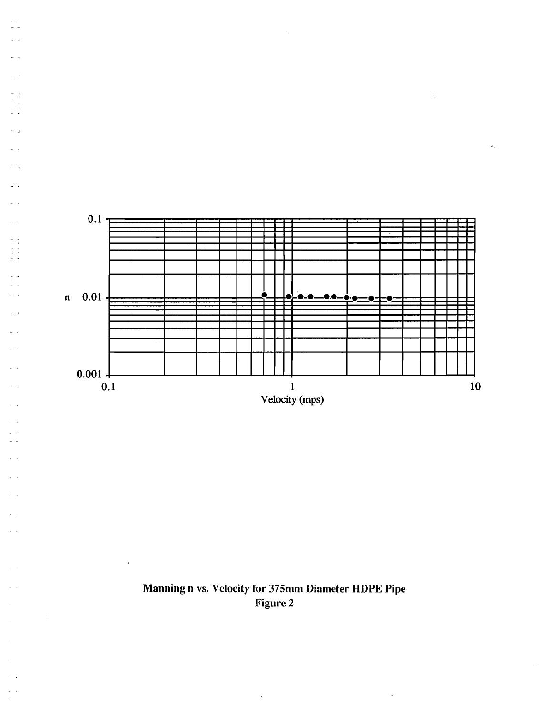

 $\frac{1}{2}$   $\frac{1}{2}$ 

 $\sim$   $\,$ 

 $\tilde{z}$  :

 $\sim$   $^{-1}$ 

 $\omega$  .

 $\tau \rightarrow$ ä,

 $\omega$  .  $\tau$  .

 $\sim$ 

 $\sim$   $\sim$ 

÷.

 $\frac{1}{2}$ 

 $\ddot{\phantom{a}}$ 

 $\mathcal{A}^{\mathcal{A}}$ 

 $\mathcal{L}_{\mathrm{A}}$ 

 $\omega \rightarrow$ 



 $\hat{\mathbf{v}}$ 

 $\mathbb{R}^3$